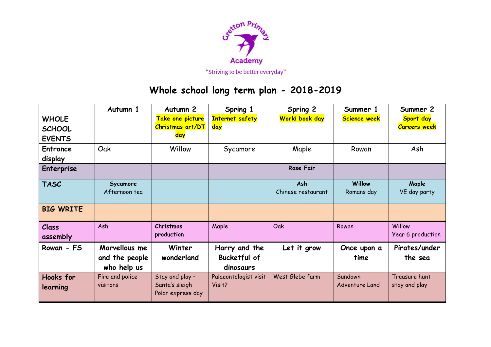

## **Whole school long term plan - 2018-2019**

|                                                | Autumn 1                                       | Autumn <sub>2</sub>                                    | Spring 1                                          | Spring 2                  | Summer 1                  | Summer 2                         |
|------------------------------------------------|------------------------------------------------|--------------------------------------------------------|---------------------------------------------------|---------------------------|---------------------------|----------------------------------|
| <b>WHOLE</b><br><b>SCHOOL</b><br><b>EVENTS</b> |                                                | Take one picture<br>Christmas art/DT<br>day            | <b>Internet safety</b><br>day                     | World book day            | <b>Science week</b>       | Sport day<br><b>Careers week</b> |
| <b>Entrance</b><br>display                     | Oak                                            | Willow                                                 | Sycamore                                          | Maple                     | Rowan                     | Ash                              |
| <b>Enterprise</b>                              |                                                |                                                        |                                                   | <b>Rose Fair</b>          |                           |                                  |
| <b>TASC</b>                                    | Sycamore<br>Afternoon tea                      |                                                        |                                                   | Ash<br>Chinese restaurant | Willow<br>Romans day      | Maple<br>VE day party            |
| <b>BIG WRITE</b>                               |                                                |                                                        |                                                   |                           |                           |                                  |
| Class<br>assembly                              | Ash                                            | Christmas<br>production                                | Maple                                             | Oak                       | Rowan                     | Willow<br>Year 6 production      |
| Rowan - FS                                     | Marvellous me<br>and the people<br>who help us | Winter<br>wonderland                                   | Harry and the<br><b>Bucketful of</b><br>dinosaurs | Let it grow               | Once upon a<br>time       | Pirates/under<br>the sea         |
| Hooks for<br>learning                          | Fire and police<br>visitors                    | Stay and play -<br>Santa's sleigh<br>Polar express day | Palaeontologist visit<br>Visit?                   | West Glebe farm           | Sundown<br>Adventure Land | Treasure hunt<br>stay and play   |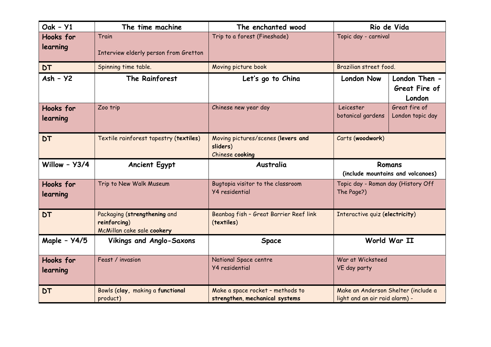| Oak - Y1              | The time machine                                                           | The enchanted wood                                                 | Rio de Vida                                                           |  |
|-----------------------|----------------------------------------------------------------------------|--------------------------------------------------------------------|-----------------------------------------------------------------------|--|
| Hooks for<br>learning | Train<br>Interview elderly person from Gretton                             | Trip to a forest (Fineshade)                                       | Topic day - carnival                                                  |  |
| <b>DT</b>             | Spinning time table.                                                       | Moving picture book                                                | Brazilian street food.                                                |  |
| $Ash - Y2$            | The Rainforest                                                             | Let's go to China                                                  | London Then -<br><b>London Now</b><br>Great Fire of<br>London         |  |
| Hooks for<br>learning | Zoo trip                                                                   | Chinese new year day                                               | Leicester<br>Great fire of<br>botanical gardens<br>London topic day   |  |
| <b>DT</b>             | Textile rainforest tapestry (textiles)                                     | Moving pictures/scenes (levers and<br>sliders)<br>Chinese cooking  | Carts (woodwork)                                                      |  |
| Willow - Y3/4         | <b>Ancient Egypt</b>                                                       | Australia                                                          | Romans<br>(include mountains and volcanoes)                           |  |
| Hooks for<br>learning | Trip to New Walk Museum                                                    | Bugtopia visitor to the classroom<br><b>Y4</b> residential         | Topic day - Roman day (History Off<br>The Page?)                      |  |
| <b>DT</b>             | Packaging (strengthening and<br>reinforcing)<br>McMillan cake sale cookery | Beanbag fish - Great Barrier Reef link<br>(textiles)               | Interactive quiz (electricity)                                        |  |
| Maple - Y4/5          | <b>Vikings and Anglo-Saxons</b>                                            | Space                                                              | World War II                                                          |  |
| Hooks for<br>learning | Feast / invasion                                                           | National Space centre<br><b>Y4</b> residential                     | War at Wicksteed<br>VE day party                                      |  |
| <b>DT</b>             | Bowls (clay, making a functional<br>product)                               | Make a space rocket - methods to<br>strengthen, mechanical systems | Make an Anderson Shelter (include a<br>light and an air raid alarm) - |  |